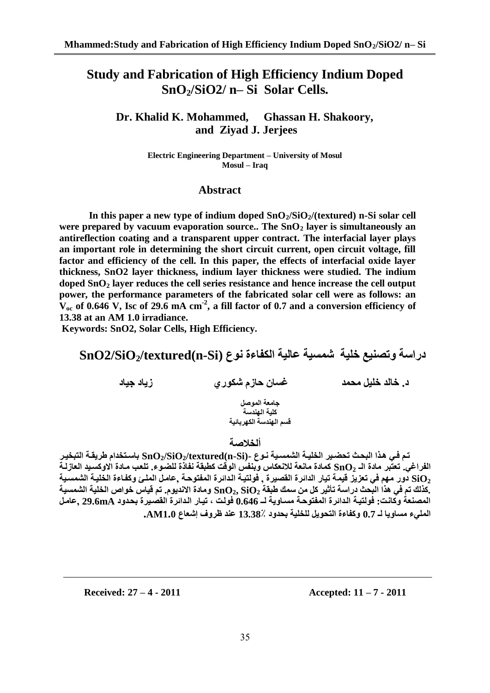# **Study and Fabrication of High Efficiency Indium Doped SnO2/SiO2/ n– Si Solar Cells.**

**Dr. Khalid K. Mohammed, Ghassan H. Shakoory, and Ziyad J. Jerjees**

> **Electric Engineering Department – University of Mosul Mosul – Iraq**

#### **Abstract**

**In this paper a new type of indium doped SnO2/SiO2/(textured) n-Si solar cell were prepared by vacuum evaporation source.. The SnO<sup>2</sup> layer is simultaneously an antireflection coating and a transparent upper contract. The interfacial layer plays an important role in determining the short circuit current, open circuit voltage, fill factor and efficiency of the cell. In this paper, the effects of interfacial oxide layer thickness, SnO2 layer thickness, indium layer thickness were studied. The indium doped SnO<sup>2</sup> layer reduces the cell series resistance and hence increase the cell output power, the performance parameters of the fabricated solar cell were as follows: an**   $V_{oc}$  of 0.646 V, Isc of 29.6 mA  $cm^{-2}$ , a fill factor of 0.7 and a conversion efficiency of **13.38 at an AM 1.0 irradiance.**

**Keywords: SnO2, Solar Cells, High Efficiency.**

**دساعة وتصٌيع خلية شوغية عالية الكفاءة ًىع (Si-n(textured2/SiO2/SnO**

**د. خالذ خليل هحوذ غغاى حاصم شكىسي صياد جياد**

**جاهعة الوىصل كلية الهندسة** قسم الهندسة الكهر بائبة

#### **ألخالصة**

تم في هذا البحث تحضير الخليـة الشمسـية نـوع -(SiOɔ/textured(n-Si) باستخدام طريقة التبخيـر الفراغي. تعتبر مادة الــ  $\bf{SnO}_2$  كمادة مائعة للانعكاس وبنفس الوقت كطبقة نفاذة للضوع. تلعب مـادة الاوكسـيد العازلـة **<sup>2</sup>SiO دوس ههن ا تعضيض قيوة تياس الذائشة ال صيشة , ىلديمة المذائشة الوفدىحمة ,عاهمل الولما وكفماءة الخليمة ال وغمية .كزلك تن ا ازا الضحا دساعة تأثيش كل هي عوك يض ة 2SiO 2,SnO وهادة اسًذيىم. تن قياط خىاص الخلية ال وغية الوصٌعة وكاًمت ىلديمة المذائشة الوفدىحمة هغماوية لمـ 0.646 ىلمت تيماس المذائشة ال صميشة بحمذود mA29.6 ,عاهمل الولاء هغاويا لـ 0.7 وكفاءة الدحىيل للخلية بحذود 13.38٪ عٌذ ظشوف إشعاع 1.0AM.**

**Received: 27 – 4 - 2011 Accepted: 11 – 7 - 2011**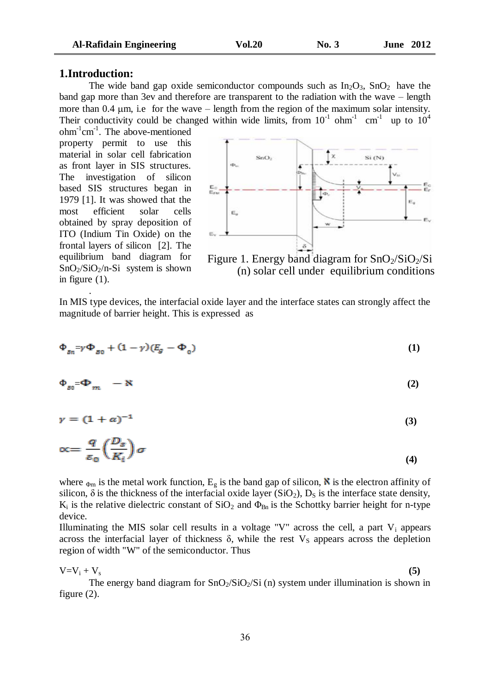#### **1.Introduction:**

.

The wide band gap oxide semiconductor compounds such as  $In_2O_3$ ,  $SnO_2$  have the band gap more than 3ev and therefore are transparent to the radiation with the wave – length more than 0.4  $\mu$ m, i.e for the wave – length from the region of the maximum solar intensity. Their conductivity could be changed within wide limits, from  $10^{-1}$  ohm<sup>-1</sup> cm<sup>-1</sup> up to  $10^4$ 

ohm<sup>-1</sup>cm<sup>-1</sup>. The above-mentioned property permit to use this material in solar cell fabrication as front layer in SIS structures. The investigation of silicon based SIS structures began in 1979 [1]. It was showed that the most efficient solar cells obtained by spray deposition of ITO (Indium Tin Oxide) on the frontal layers of silicon [2]. The equilibrium band diagram for  $SnO<sub>2</sub>/SiO<sub>2</sub>/n-Si$  system is shown in figure (1).



Figure 1. Energy band diagram for  $SnO_2/SiO_2/Si$ (n) solar cell under equilibrium conditions

In MIS type devices, the interfacial oxide layer and the interface states can strongly affect the magnitude of barrier height. This is expressed as

$$
\Phi_{Bn} = \gamma \Phi_{B0} + (1 - \gamma)(E_g - \Phi_0) \tag{1}
$$

$$
\Phi_{B0} = \Phi_m - N \tag{2}
$$

$$
\gamma = (1 + \alpha)^{-1} \tag{3}
$$

$$
\propto = \frac{q}{\varepsilon_0} \left( \frac{D_s}{K_i} \right) \sigma \tag{4}
$$

where  $_{\Phi m}$  is the metal work function,  $E_g$  is the band gap of silicon, **N** is the electron affinity of silicon,  $\delta$  is the thickness of the interfacial oxide layer (SiO<sub>2</sub>), D<sub>S</sub> is the interface state density,  $K_i$  is the relative dielectric constant of  $SiO_2$  and  $\Phi_{Bn}$  is the Schottky barrier height for n-type device.

Illuminating the MIS solar cell results in a voltage "V" across the cell, a part  $V_i$  appears across the interfacial layer of thickness  $\delta$ , while the rest  $V_s$  appears across the depletion region of width "W" of the semiconductor. Thus

 $V = V_i + V_s$  (5)

The energy band diagram for  $SnO_2/SiO_2/Si$  (n) system under illumination is shown in figure (2).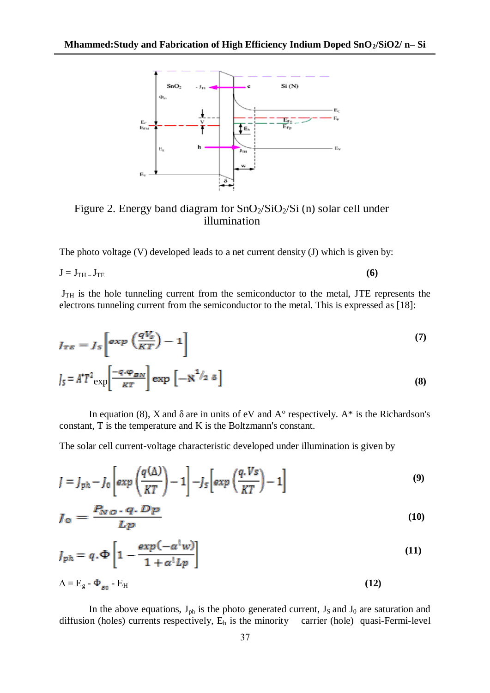

Figure 2. Energy band diagram for  $SnO_2/SiO_2/Si$  (n) solar cell under illumination

The photo voltage (V) developed leads to a net current density (J) which is given by:

$$
J = J_{TH} - J_{TE} \tag{6}
$$

 $J<sub>TH</sub>$  is the hole tunneling current from the semiconductor to the metal, JTE represents the electrons tunneling current from the semiconductor to the metal. This is expressed as [18]:

$$
J_{TE} = J_s \left[ \exp \left( \frac{qV_s}{KT} \right) - 1 \right]
$$
  

$$
J_s = A^* T^2 \exp \left[ \frac{-q \cdot \varphi_{BN}}{\kappa T} \right] \exp \left[ -\aleph^{1/2} \delta \right]
$$
 (8)

In equation (8), X and  $\delta$  are in units of eV and  $A^{\circ}$  respectively.  $A^*$  is the Richardson's constant, T is the temperature and K is the Boltzmann's constant.

The solar cell current-voltage characteristic developed under illumination is given by

$$
J = J_{ph} - J_0 \left[ exp\left(\frac{q(\Delta)}{KT}\right) - 1 \right] - J_5 \left[ exp\left(\frac{q.Vs}{KT}\right) - 1 \right]
$$
 (9)

$$
J_0 = \frac{P_{NO} \cdot q \cdot Dp}{Lp} \tag{10}
$$

$$
J_{ph} = q \cdot \Phi \left[ 1 - \frac{\exp(-\alpha^{\dagger} w)}{1 + \alpha^{\dagger} L p} \right] \tag{11}
$$

$$
\Delta = E_g - \Phi_{g_0} - E_H \tag{12}
$$

In the above equations,  $J_{ph}$  is the photo generated current,  $J_S$  and  $J_0$  are saturation and diffusion (holes) currents respectively,  $E_h$  is the minority carrier (hole) quasi-Fermi-level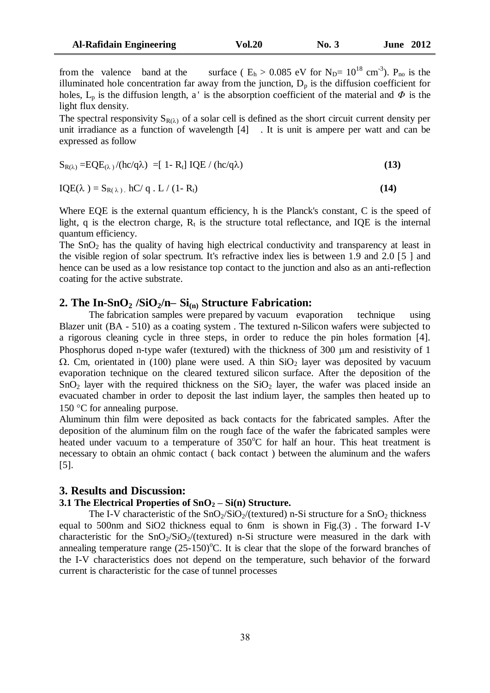from the valence band at the surface ( $E_h > 0.085$  eV for  $N_D = 10^{18}$  cm<sup>-3</sup>). P<sub>no</sub> is the illuminated hole concentration far away from the junction,  $D_p$  is the diffusion coefficient for holes,  $L_p$  is the diffusion length, a' is the absorption coefficient of the material and  $\Phi$  is the light flux density.

The spectral responsivity  $S_{R(\lambda)}$  of a solar cell is defined as the short circuit current density per unit irradiance as a function of wavelength [4] . It is unit is ampere per watt and can be expressed as follow

$$
S_{R(\lambda)} = EQE_{(\lambda)}/(hc/q\lambda) = [1 - R_t] IQE / (hc/q\lambda)
$$
\n(13)

$$
IQE(\lambda) = S_{R(\lambda)} \cdot hC/q \cdot L/(1 - R_t)
$$
\n(14)

Where EQE is the external quantum efficiency, h is the Planck's constant, C is the speed of light, q is the electron charge,  $R_t$  is the structure total reflectance, and IQE is the internal quantum efficiency.

The  $SnO<sub>2</sub>$  has the quality of having high electrical conductivity and transparency at least in the visible region of solar spectrum. It's refractive index lies is between 1.9 and 2.0 [5 ] and hence can be used as a low resistance top contact to the junction and also as an anti-reflection coating for the active substrate.

#### **2. The In-SnO<sup>2</sup> /SiO2/n– Si(n) Structure Fabrication:**

The fabrication samples were prepared by vacuum evaporation technique using Blazer unit (BA - 510) as a coating system . The textured n-Silicon wafers were subjected to a rigorous cleaning cycle in three steps, in order to reduce the pin holes formation [4]. Phosphorus doped n-type wafer (textured) with the thickness of  $300 \mu m$  and resistivity of 1  $\Omega$ . Cm, orientated in (100) plane were used. A thin SiO<sub>2</sub> layer was deposited by vacuum evaporation technique on the cleared textured silicon surface. After the deposition of the  $SnO<sub>2</sub>$  layer with the required thickness on the  $SiO<sub>2</sub>$  layer, the wafer was placed inside an evacuated chamber in order to deposit the last indium layer, the samples then heated up to 150  $\degree$ C for annealing purpose.

Aluminum thin film were deposited as back contacts for the fabricated samples. After the deposition of the aluminum film on the rough face of the wafer the fabricated samples were heated under vacuum to a temperature of  $350^{\circ}$ C for half an hour. This heat treatment is necessary to obtain an ohmic contact ( back contact ) between the aluminum and the wafers [5].

### **3. Results and Discussion:**

### **3.1 The Electrical Properties of SnO<sup>2</sup> – Si(n) Structure.**

The I-V characteristic of the  $SnO_2/SiO_2/(textured)$  n-Si structure for a  $SnO_2$  thickness equal to 500nm and SiO2 thickness equal to 6nm is shown in Fig.(3) . The forward I-V characteristic for the  $SnO<sub>2</sub>/SiO<sub>2</sub>/(textured) n-Si$  structure were measured in the dark with annealing temperature range  $(25{\text -}150)$ <sup>o</sup>C. It is clear that the slope of the forward branches of the I-V characteristics does not depend on the temperature, such behavior of the forward current is characteristic for the case of tunnel processes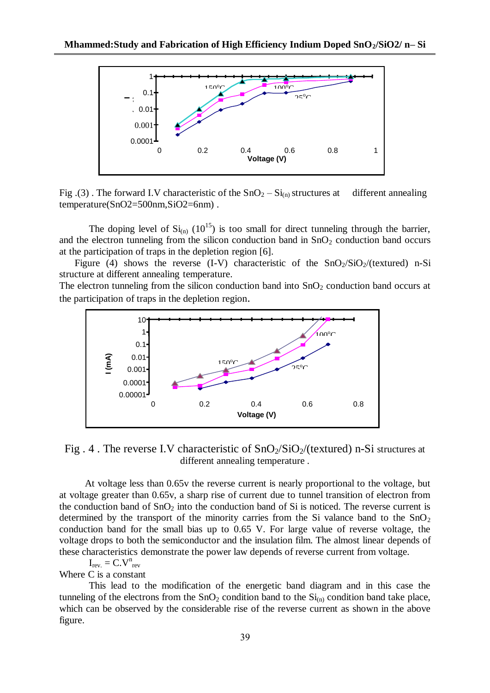

Fig. (3). The forward I.V characteristic of the  $SnO<sub>2</sub> - Si<sub>(n)</sub>$  structures at different annealing temperature(SnO2=500nm,SiO2=6nm) .

The doping level of  $Si_{(n)}$  (10<sup>15</sup>) is too small for direct tunneling through the barrier, and the electron tunneling from the silicon conduction band in  $SnO<sub>2</sub>$  conduction band occurs at the participation of traps in the depletion region [6].

Figure (4) shows the reverse (I-V) characteristic of the  $SnO<sub>2</sub>/SiO<sub>2</sub>/(textured) n-Si$ structure at different annealing temperature.

The electron tunneling from the silicon conduction band into  $SnO<sub>2</sub>$  conduction band occurs at the participation of traps in the depletion region.



Fig. 4. The reverse I.V characteristic of  $SnO<sub>2</sub>/SiO<sub>2</sub>$  (textured) n-Si structures at different annealing temperature .

 At voltage less than 0.65v the reverse current is nearly proportional to the voltage, but at voltage greater than 0.65v, a sharp rise of current due to tunnel transition of electron from the conduction band of  $SnO<sub>2</sub>$  into the conduction band of Si is noticed. The reverse current is determined by the transport of the minority carries from the Si valance band to the  $SnO<sub>2</sub>$ conduction band for the small bias up to 0.65 V. For large value of reverse voltage, the voltage drops to both the semiconductor and the insulation film. The almost linear depends of these characteristics demonstrate the power law depends of reverse current from voltage.

$$
I_{rev.} = C.V^{n}_{rev}
$$

Where C is a constant

This lead to the modification of the energetic band diagram and in this case the tunneling of the electrons from the  $SnO<sub>2</sub>$  condition band to the  $Si<sub>(n)</sub>$  condition band take place, which can be observed by the considerable rise of the reverse current as shown in the above figure.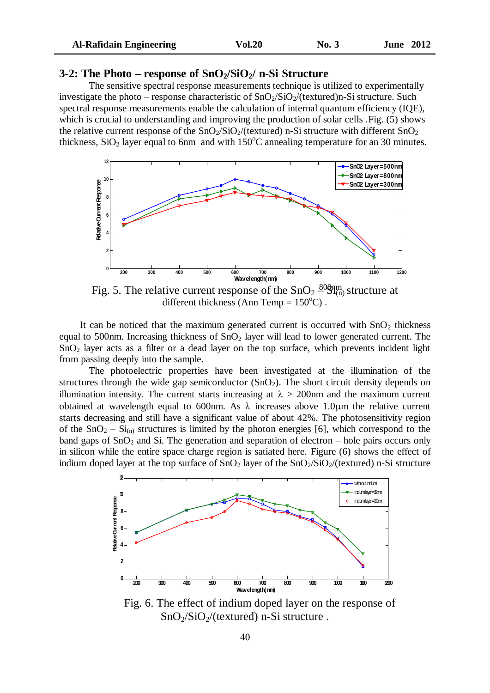| <b>Al-Rafidain Engineering</b> | <b>Vol.20</b> | $\mathbf{N_0}$ , 3 | <b>June 2012</b> |
|--------------------------------|---------------|--------------------|------------------|
|--------------------------------|---------------|--------------------|------------------|

#### **3-2: The Photo – response of SnO2/SiO2/ n-Si Structure**

The sensitive spectral response measurements technique is utilized to experimentally investigate the photo – response characteristic of  $SnO<sub>2</sub>/SiO<sub>2</sub>$  (textured)n-Si structure. Such spectral response measurements enable the calculation of internal quantum efficiency (IQE), which is crucial to understanding and improving the production of solar cells . Fig. (5) shows the relative current response of the  $SnO<sub>2</sub>/SiO<sub>2</sub>/(textured)$  n-Si structure with different  $SnO<sub>2</sub>$ thickness,  $SiO<sub>2</sub>$  layer equal to 6nm and with 150 $^{\circ}$ C annealing temperature for an 30 minutes.



Fig. 5. The relative current response of the  $SnO<sub>2</sub>$   $^{80}_{81}$  structure at different thickness (Ann Temp =  $150^{\circ}$ C).

It can be noticed that the maximum generated current is occurred with  $SnO<sub>2</sub>$  thickness equal to 500nm. Increasing thickness of  $SnO<sub>2</sub>$  layer will lead to lower generated current. The SnO<sup>2</sup> layer acts as a filter or a dead layer on the top surface, which prevents incident light from passing deeply into the sample.

The photoelectric properties have been investigated at the illumination of the structures through the wide gap semiconductor  $(SnO<sub>2</sub>)$ . The short circuit density depends on illumination intensity. The current starts increasing at  $\lambda > 200$  nm and the maximum current obtained at wavelength equal to 600nm. As  $\lambda$  increases above 1.0 um the relative current starts decreasing and still have a significant value of about 42%. The photosensitivity region of the  $SnO<sub>2</sub> - Si<sub>(n)</sub>$  structures is limited by the photon energies [6], which correspond to the band gaps of  $SnO<sub>2</sub>$  and Si. The generation and separation of electron – hole pairs occurs only in silicon while the entire space charge region is satiated here. Figure (6) shows the effect of indium doped layer at the top surface of  $SnO<sub>2</sub>$  layer of the  $SnO<sub>2</sub>/SiO<sub>2</sub>$ /(textured) n-Si structure



Fig. 6. The effect of indium doped layer on the response of  $SnO<sub>2</sub>/SiO<sub>2</sub>/(textured) n-Si structure.$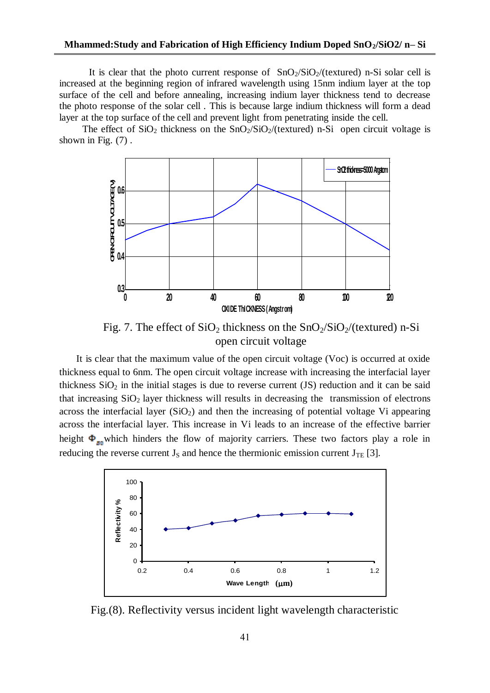It is clear that the photo current response of  $SnO_2/SiO_2/(textured)$  n-Si solar cell is increased at the beginning region of infrared wavelength using 15nm indium layer at the top surface of the cell and before annealing, increasing indium layer thickness tend to decrease the photo response of the solar cell . This is because large indium thickness will form a dead layer at the top surface of the cell and prevent light from penetrating inside the cell.

The effect of  $SiO_2$  thickness on the  $SnO_2/SiO_2/(textured)$  n-Si open circuit voltage is shown in Fig. (7) .



Fig. 7. The effect of  $SiO_2$  thickness on the  $SnO_2/SiO_2/(textured)$  n-Si open circuit voltage

 It is clear that the maximum value of the open circuit voltage (Voc) is occurred at oxide thickness equal to 6nm. The open circuit voltage increase with increasing the interfacial layer thickness  $SiO<sub>2</sub>$  in the initial stages is due to reverse current (JS) reduction and it can be said that increasing  $SiO<sub>2</sub>$  layer thickness will results in decreasing the transmission of electrons across the interfacial layer  $(SiO<sub>2</sub>)$  and then the increasing of potential voltage Vi appearing across the interfacial layer. This increase in Vi leads to an increase of the effective barrier height  $\Phi_{g_0}$  which hinders the flow of majority carriers. These two factors play a role in reducing the reverse current  $J_s$  and hence the thermionic emission current  $J_{TE}$  [3].



Fig.(8). Reflectivity versus incident light wavelength characteristic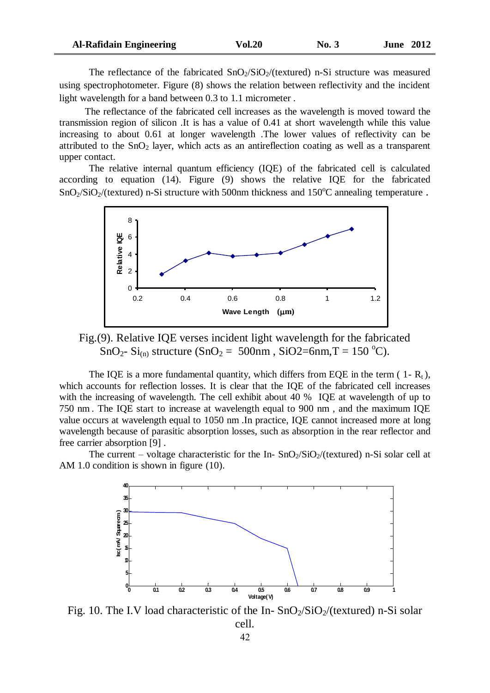| <b>Al-Rafidain Engineering</b> | <b>Vol.20</b> | No. 3 | <b>June 2012</b> |
|--------------------------------|---------------|-------|------------------|
|--------------------------------|---------------|-------|------------------|

The reflectance of the fabricated  $SnO<sub>2</sub>/SiO<sub>2</sub>/(textured) n-Si structure was measured$ using spectrophotometer. Figure (8) shows the relation between reflectivity and the incident light wavelength for a band between 0.3 to 1.1 micrometer .

 The reflectance of the fabricated cell increases as the wavelength is moved toward the transmission region of silicon .It is has a value of 0.41 at short wavelength while this value increasing to about 0.61 at longer wavelength .The lower values of reflectivity can be attributed to the  $SnO<sub>2</sub>$  layer, which acts as an antireflection coating as well as a transparent upper contact.

The relative internal quantum efficiency (IQE) of the fabricated cell is calculated according to equation (14). Figure (9) shows the relative IQE for the fabricated  $\text{SnO}_2/\text{SiO}_2/(\text{textured})$  n-Si structure with 500nm thickness and 150<sup>o</sup>C annealing temperature.



Fig.(9). Relative IQE verses incident light wavelength for the fabricated SnO<sub>2</sub>- Si<sub>(n)</sub> structure (SnO<sub>2</sub> = 500nm, SiO2=6nm, T = 150 °C).

The IQE is a more fundamental quantity, which differs from EQE in the term (1- $R_t$ ), which accounts for reflection losses. It is clear that the IQE of the fabricated cell increases with the increasing of wavelength. The cell exhibit about 40 % IQE at wavelength of up to 750 nm . The IQE start to increase at wavelength equal to 900 nm , and the maximum IQE value occurs at wavelength equal to 1050 nm .In practice, IQE cannot increased more at long wavelength because of parasitic absorption losses, such as absorption in the rear reflector and free carrier absorption [9] .

The current – voltage characteristic for the In- $SnO<sub>2</sub>/SiO<sub>2</sub>/(textured)$  n-Si solar cell at AM 1.0 condition is shown in figure (10).



Fig. 10. The I.V load characteristic of the In- $SnO<sub>2</sub>/SiO<sub>2</sub>/(textured)$  n-Si solar